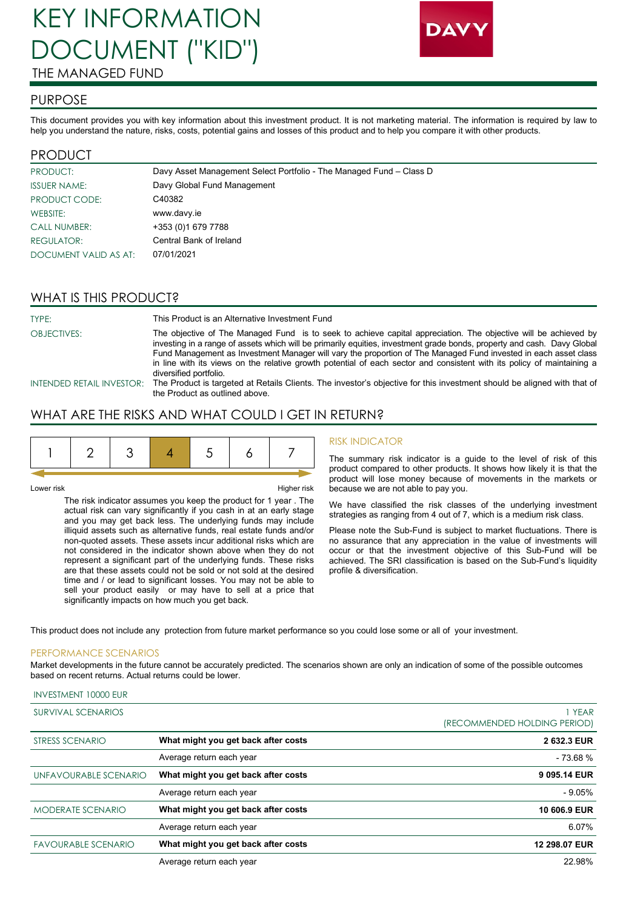# KEY INFORMATION DOCUMENT ("KID") THE MANAGED FUND



#### PURPOSE

This document provides you with key information about this investment product. It is not marketing material. The information is required by law to help you understand the nature, risks, costs, potential gains and losses of this product and to help you compare it with other products.

### PRODUCT

| <b>PRODUCT:</b>       | Davy Asset Management Select Portfolio - The Managed Fund - Class D |
|-----------------------|---------------------------------------------------------------------|
| <b>ISSUER NAME:</b>   | Davy Global Fund Management                                         |
| PRODUCT CODE:         | C40382                                                              |
| WEBSITE:              | www.davy.ie                                                         |
| <b>CALL NUMBER:</b>   | +353 (0)1 679 7788                                                  |
| <b>REGULATOR:</b>     | Central Bank of Ireland                                             |
| DOCUMENT VALID AS AT: | 07/01/2021                                                          |

# WHAT IS THIS PRODUCT?

| TYPE:              | This Product is an Alternative Investment Fund                                                                                                                                                                                                                                                                                                                                                                                                                                                                    |
|--------------------|-------------------------------------------------------------------------------------------------------------------------------------------------------------------------------------------------------------------------------------------------------------------------------------------------------------------------------------------------------------------------------------------------------------------------------------------------------------------------------------------------------------------|
| <b>OBJECTIVES:</b> | The objective of The Managed Fund is to seek to achieve capital appreciation. The objective will be achieved by<br>investing in a range of assets which will be primarily equities, investment grade bonds, property and cash. Davy Global<br>Fund Management as Investment Manager will vary the proportion of The Managed Fund invested in each asset class<br>in line with its views on the relative growth potential of each sector and consistent with its policy of maintaining a<br>diversified portfolio. |
|                    | INTENDED RETAIL INVESTOR: The Product is targeted at Retails Clients. The investor's objective for this investment should be aligned with that of<br>the Product as outlined above.                                                                                                                                                                                                                                                                                                                               |

# WHAT ARE THE RISKS AND WHAT COULD I GET IN RETURN?

| __         |                                                                                                                                                                              |
|------------|------------------------------------------------------------------------------------------------------------------------------------------------------------------------------|
| Lower risk | Higher risk                                                                                                                                                                  |
|            | The risk indicator assumes you keep the product for 1 year. The<br>a cuideal abella de la composición de la condita de color de estados durante de la califación de la color |

actual risk can vary significantly if you cash in at an early stage and you may get back less. The underlying funds may include illiquid assets such as alternative funds, real estate funds and/or non-quoted assets. These assets incur additional risks which are not considered in the indicator shown above when they do not represent a significant part of the underlying funds. These risks are that these assets could not be sold or not sold at the desired time and / or lead to significant losses. You may not be able to sell your product easily or may have to sell at a price that significantly impacts on how much you get back.

#### RISK INDICATOR

The summary risk indicator is a guide to the level of risk of this product compared to other products. It shows how likely it is that the product will lose money because of movements in the markets or because we are not able to pay you.

We have classified the risk classes of the underlying investment strategies as ranging from 4 out of 7, which is a medium risk class.

Please note the Sub-Fund is subject to market fluctuations. There is no assurance that any appreciation in the value of investments will occur or that the investment objective of this Sub-Fund will be achieved. The SRI classification is based on the Sub-Fund's liquidity profile & diversification.

This product does not include any protection from future market performance so you could lose some or all of your investment.

#### PERFORMANCE SCENARIOS

INVESTMENT 10000 EUR

Market developments in the future cannot be accurately predicted. The scenarios shown are only an indication of some of the possible outcomes based on recent returns. Actual returns could be lower.

| SURVIVAL SCENARIOS         |                                     | 1 YEAR<br>(RECOMMENDED HOLDING PERIOD) |
|----------------------------|-------------------------------------|----------------------------------------|
| <b>STRESS SCENARIO</b>     | What might you get back after costs | 2 632.3 EUR                            |
|                            | Average return each year            | $-73.68%$                              |
| UNFAVOURABLE SCENARIO      | What might you get back after costs | 9 095.14 EUR                           |
|                            | Average return each year            | $-9.05%$                               |
| <b>MODERATE SCENARIO</b>   | What might you get back after costs | 10 606.9 EUR                           |
|                            | Average return each year            | 6.07%                                  |
| <b>FAVOURABLE SCENARIO</b> | What might you get back after costs | 12 298.07 EUR                          |
|                            | Average return each year            | 22.98%                                 |